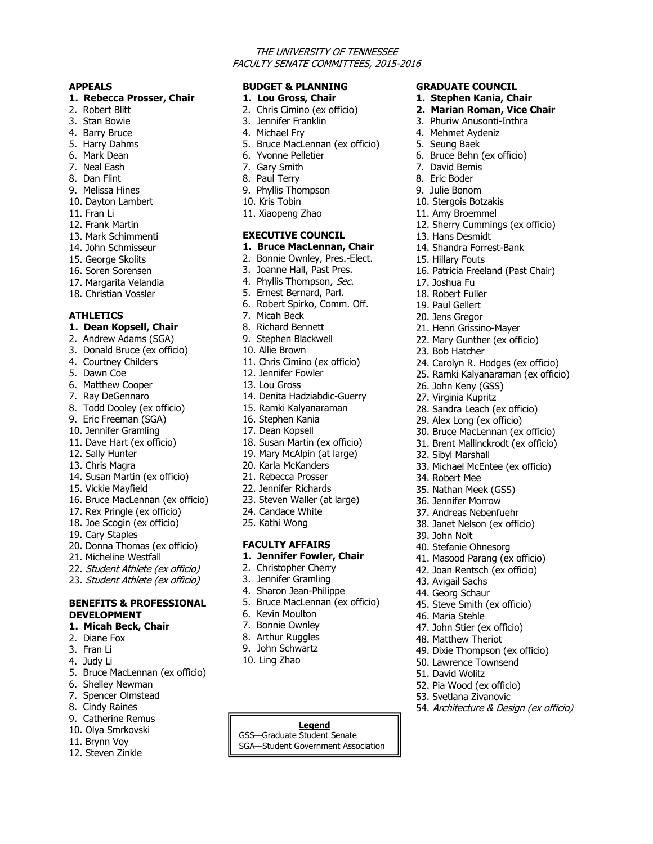#### THE UNIVERSITY OF TENNESSEE FACULTY SENATE COMMITTEES, 2015-2016

**GRADUATE COUNCIL 1. Stephen Kania, Chair 2. Marian Roman, Vice Chair** 3. Phuriw Anusonti-Inthra 4. Mehmet Aydeniz 5. Seung Baek

6. Bruce Behn (ex officio)

12. Sherry Cummings (ex officio)

16. Patricia Freeland (Past Chair)

24. Carolyn R. Hodges (ex officio) 25. Ramki Kalyanaraman (ex officio)

28. Sandra Leach (ex officio) 29. Alex Long (ex officio) 30. Bruce MacLennan (ex officio) 31. Brent Mallinckrodt (ex officio)

33. Michael McEntee (ex officio)

21. Henri Grissino-Mayer 22. Mary Gunther (ex officio)

7. David Bemis 8. Eric Boder 9. Julie Bonom 10. Stergois Botzakis 11. Amy Broemmel

13. Hans Desmidt 14. Shandra Forrest-Bank

15. Hillary Fouts

17. Joshua Fu 18. Robert Fuller 19. Paul Gellert 20. Jens Gregor

23. Bob Hatcher

26. John Keny (GSS) 27. Virginia Kupritz

32. Sibyl Marshall

34. Robert Mee 35. Nathan Meek (GSS) 36. Jennifer Morrow 37. Andreas Nebenfuehr 38. Janet Nelson (ex officio)

39. John Nolt

43. Avigail Sachs 44. Georg Schaur

46. Maria Stehle

40. Stefanie Ohnesorg

41. Masood Parang (ex officio) 42. Joan Rentsch (ex officio)

45. Steve Smith (ex officio)

47. John Stier (ex officio) 48. Matthew Theriot

52. Pia Wood (ex officio) 53. Svetlana Zivanovic

49. Dixie Thompson (ex officio) 50. Lawrence Townsend 51. David Wolitz

54. Architecture & Design (ex officio)

#### **APPEALS**

#### **1. Rebecca Prosser, Chair**

- 2. Robert Blitt
- 3. Stan Bowie
- 4. Barry Bruce
- 5. Harry Dahms
- 6. Mark Dean
- 7. Neal Eash
- 8. Dan Flint
- 9. Melissa Hines
- 10. Dayton Lambert
- 11. Fran Li
- 12. Frank Martin
- 13. Mark Schimmenti
- 14. John Schmisseur
- 15. George Skolits
- 16. Soren Sorensen
- 17. Margarita Velandia
- 18. Christian Vossler

### **ATHLETICS**

#### **1. Dean Kopsell, Chair**

- 2. Andrew Adams (SGA)
- 3. Donald Bruce (ex officio)
- 4. Courtney Childers
- 5. Dawn Coe
- 6. Matthew Cooper
- 7. Ray DeGennaro
- 8. Todd Dooley (ex officio)
- 9. Eric Freeman (SGA)
- 10. Jennifer Gramling
- 11. Dave Hart (ex officio)
- 12. Sally Hunter
- 13. Chris Magra
- 14. Susan Martin (ex officio)
- 15. Vickie Mayfield
- 16. Bruce MacLennan (ex officio)
- 17. Rex Pringle (ex officio)
- 18. Joe Scogin (ex officio)
- 19. Cary Staples
- 20. Donna Thomas (ex officio)
- 21. Micheline Westfall
- 22. Student Athlete (ex officio)
- 23. Student Athlete (ex officio)

### **BENEFITS & PROFESSIONAL DEVELOPMENT**

- **1. Micah Beck, Chair**
- 2. Diane Fox
- 3. Fran Li
- 4. Judy Li
- 5. Bruce MacLennan (ex officio)
- 6. Shelley Newman
- 7. Spencer Olmstead
- 8. Cindy Raines
- 9. Catherine Remus
- 10. Olya Smrkovski
- 11. Brynn Voy
- 12. Steven Zinkle

### **BUDGET & PLANNING**

#### **1. Lou Gross, Chair**

- 2. Chris Cimino (ex officio)
- 3. Jennifer Franklin
- 4. Michael Fry
- 5. Bruce MacLennan (ex officio)
- 6. Yvonne Pelletier
- 7. Gary Smith
- 8. Paul Terry
- 9. Phyllis Thompson
- 10. Kris Tobin
- 11. Xiaopeng Zhao

### **EXECUTIVE COUNCIL**

- **1. Bruce MacLennan, Chair**
- 2. Bonnie Ownley, Pres.-Elect.
- 3. Joanne Hall, Past Pres.
- 4. Phyllis Thompson, Sec.
- 5. Ernest Bernard, Parl.
- 6. Robert Spirko, Comm. Off.
- 7. Micah Beck
- 8. Richard Bennett
- 9. Stephen Blackwell
- 10. Allie Brown
- 11. Chris Cimino (ex officio)
- 12. Jennifer Fowler
- 13. Lou Gross
- 14. Denita Hadziabdic-Guerry
- 15. Ramki Kalyanaraman
- 16. Stephen Kania
- 17. Dean Kopsell
- 18. Susan Martin (ex officio)
- 19. Mary McAlpin (at large)
- 20. Karla McKanders
- 21. Rebecca Prosser
- 22. Jennifer Richards
- 23. Steven Waller (at large)
- 24. Candace White
- 25. Kathi Wong

## **FACULTY AFFAIRS**

- **1. Jennifer Fowler, Chair**
- 2. Christopher Cherry
- 3. Jennifer Gramling

6. Kevin Moulton 7. Bonnie Ownley 8. Arthur Ruggles 9. John Schwartz 10. Ling Zhao

4. Sharon Jean-Philippe 5. Bruce MacLennan (ex officio)

**Legend** GSS—Graduate Student Senate SGA—Student Government Association